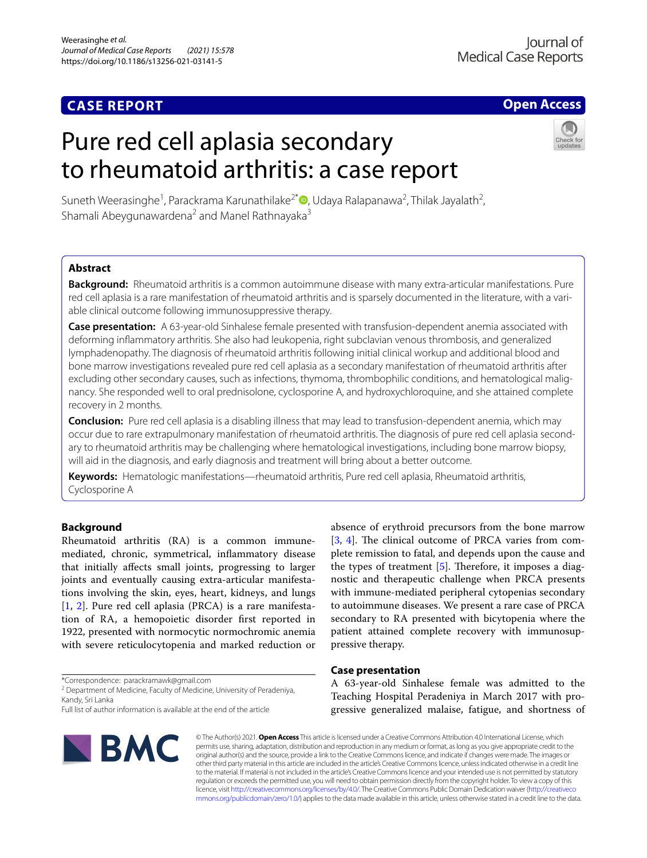# **CASE REPORT**

## **Open Access**

# Pure red cell aplasia secondary to rheumatoid arthritis: a case report



Suneth Weerasinghe<sup>1</sup>[,](http://orcid.org/0000-0002-7029-7781) Parackrama Karunathilake<sup>2\*</sup> D, Udaya Ralapanawa<sup>2</sup>, Thilak Jayalath<sup>2</sup>, Shamali Abeygunawardena<sup>2</sup> and Manel Rathnayaka<sup>3</sup>

### **Abstract**

**Background:** Rheumatoid arthritis is a common autoimmune disease with many extra-articular manifestations. Pure red cell aplasia is a rare manifestation of rheumatoid arthritis and is sparsely documented in the literature, with a variable clinical outcome following immunosuppressive therapy.

**Case presentation:** A 63-year-old Sinhalese female presented with transfusion-dependent anemia associated with deforming infammatory arthritis. She also had leukopenia, right subclavian venous thrombosis, and generalized lymphadenopathy. The diagnosis of rheumatoid arthritis following initial clinical workup and additional blood and bone marrow investigations revealed pure red cell aplasia as a secondary manifestation of rheumatoid arthritis after excluding other secondary causes, such as infections, thymoma, thrombophilic conditions, and hematological malignancy. She responded well to oral prednisolone, cyclosporine A, and hydroxychloroquine, and she attained complete recovery in 2 months.

**Conclusion:** Pure red cell aplasia is a disabling illness that may lead to transfusion-dependent anemia, which may occur due to rare extrapulmonary manifestation of rheumatoid arthritis. The diagnosis of pure red cell aplasia secondary to rheumatoid arthritis may be challenging where hematological investigations, including bone marrow biopsy, will aid in the diagnosis, and early diagnosis and treatment will bring about a better outcome.

**Keywords:** Hematologic manifestations—rheumatoid arthritis, Pure red cell aplasia, Rheumatoid arthritis, Cyclosporine A

#### **Background**

Rheumatoid arthritis (RA) is a common immunemediated, chronic, symmetrical, infammatory disease that initially afects small joints, progressing to larger joints and eventually causing extra-articular manifestations involving the skin, eyes, heart, kidneys, and lungs [[1,](#page-5-0) [2\]](#page-5-1). Pure red cell aplasia (PRCA) is a rare manifestation of RA, a hemopoietic disorder frst reported in 1922, presented with normocytic normochromic anemia with severe reticulocytopenia and marked reduction or

\*Correspondence: parackramawk@gmail.com

<sup>2</sup> Department of Medicine, Faculty of Medicine, University of Peradeniya, Kandy, Sri Lanka

Full list of author information is available at the end of the article



absence of erythroid precursors from the bone marrow [[3,](#page-5-2) [4\]](#page-5-3). The clinical outcome of PRCA varies from complete remission to fatal, and depends upon the cause and the types of treatment  $[5]$  $[5]$ . Therefore, it imposes a diagnostic and therapeutic challenge when PRCA presents with immune-mediated peripheral cytopenias secondary to autoimmune diseases. We present a rare case of PRCA secondary to RA presented with bicytopenia where the patient attained complete recovery with immunosuppressive therapy.

#### **Case presentation**

A 63-year-old Sinhalese female was admitted to the Teaching Hospital Peradeniya in March 2017 with progressive generalized malaise, fatigue, and shortness of

© The Author(s) 2021. **Open Access** This article is licensed under a Creative Commons Attribution 4.0 International License, which permits use, sharing, adaptation, distribution and reproduction in any medium or format, as long as you give appropriate credit to the original author(s) and the source, provide a link to the Creative Commons licence, and indicate if changes were made. The images or other third party material in this article are included in the article's Creative Commons licence, unless indicated otherwise in a credit line to the material. If material is not included in the article's Creative Commons licence and your intended use is not permitted by statutory regulation or exceeds the permitted use, you will need to obtain permission directly from the copyright holder. To view a copy of this licence, visit [http://creativecommons.org/licenses/by/4.0/.](http://creativecommons.org/licenses/by/4.0/) The Creative Commons Public Domain Dedication waiver ([http://creativeco](http://creativecommons.org/publicdomain/zero/1.0/) [mmons.org/publicdomain/zero/1.0/](http://creativecommons.org/publicdomain/zero/1.0/)) applies to the data made available in this article, unless otherwise stated in a credit line to the data.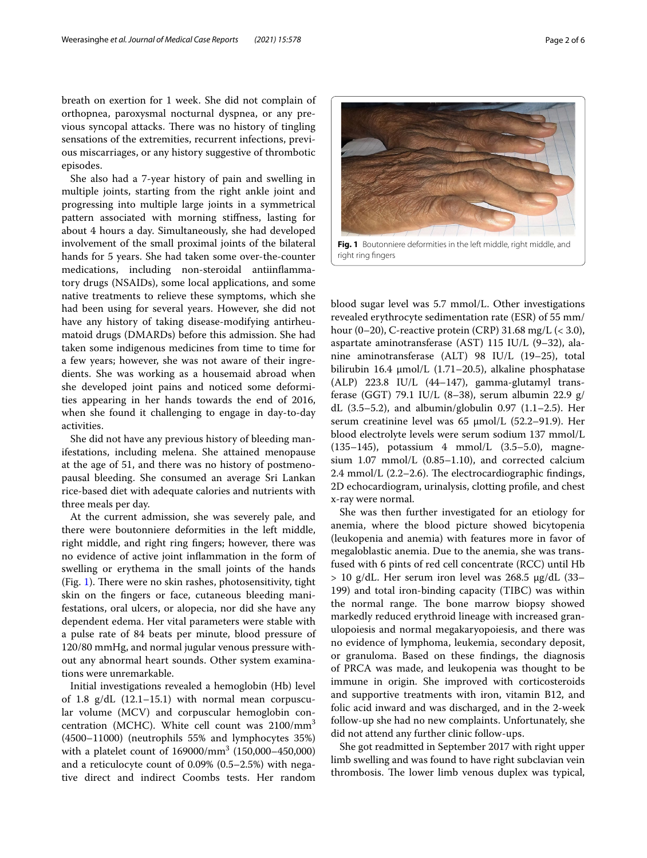breath on exertion for 1 week. She did not complain of orthopnea, paroxysmal nocturnal dyspnea, or any previous syncopal attacks. There was no history of tingling sensations of the extremities, recurrent infections, previous miscarriages, or any history suggestive of thrombotic episodes.

She also had a 7-year history of pain and swelling in multiple joints, starting from the right ankle joint and progressing into multiple large joints in a symmetrical pattern associated with morning stifness, lasting for about 4 hours a day. Simultaneously, she had developed involvement of the small proximal joints of the bilateral hands for 5 years. She had taken some over-the-counter medications, including non-steroidal antiinfammatory drugs (NSAIDs), some local applications, and some native treatments to relieve these symptoms, which she had been using for several years. However, she did not have any history of taking disease-modifying antirheumatoid drugs (DMARDs) before this admission. She had taken some indigenous medicines from time to time for a few years; however, she was not aware of their ingredients. She was working as a housemaid abroad when she developed joint pains and noticed some deformities appearing in her hands towards the end of 2016, when she found it challenging to engage in day-to-day activities.

She did not have any previous history of bleeding manifestations, including melena. She attained menopause at the age of 51, and there was no history of postmenopausal bleeding. She consumed an average Sri Lankan rice-based diet with adequate calories and nutrients with three meals per day.

At the current admission, she was severely pale, and there were boutonniere deformities in the left middle, right middle, and right ring fngers; however, there was no evidence of active joint infammation in the form of swelling or erythema in the small joints of the hands  $(Fig. 1)$  $(Fig. 1)$  $(Fig. 1)$ . There were no skin rashes, photosensitivity, tight skin on the fngers or face, cutaneous bleeding manifestations, oral ulcers, or alopecia, nor did she have any dependent edema. Her vital parameters were stable with a pulse rate of 84 beats per minute, blood pressure of 120/80 mmHg, and normal jugular venous pressure without any abnormal heart sounds. Other system examinations were unremarkable.

Initial investigations revealed a hemoglobin (Hb) level of 1.8 g/dL (12.1–15.1) with normal mean corpuscular volume (MCV) and corpuscular hemoglobin concentration (MCHC). White cell count was 2100/mm<sup>3</sup> (4500–11000) (neutrophils 55% and lymphocytes 35%) with a platelet count of 169000/mm<sup>3</sup> (150,000–450,000) and a reticulocyte count of 0.09% (0.5–2.5%) with negative direct and indirect Coombs tests. Her random

<span id="page-1-0"></span>blood sugar level was 5.7 mmol/L. Other investigations revealed erythrocyte sedimentation rate (ESR) of 55 mm/ hour (0–20), C-reactive protein (CRP) 31.68 mg/L (< 3.0), aspartate aminotransferase (AST) 115 IU/L (9–32), alanine aminotransferase (ALT) 98 IU/L (19–25), total bilirubin 16.4  $\mu$ mol/L (1.71–20.5), alkaline phosphatase (ALP) 223.8 IU/L (44–147), gamma-glutamyl transferase (GGT) 79.1 IU/L (8–38), serum albumin 22.9 g/ dL (3.5–5.2), and albumin/globulin 0.97 (1.1–2.5). Her serum creatinine level was  $65 \text{ µmol/L}$  (52.2–91.9). Her blood electrolyte levels were serum sodium 137 mmol/L (135–145), potassium 4 mmol/L (3.5–5.0), magnesium 1.07 mmol/L (0.85–1.10), and corrected calcium  $2.4$  mmol/L  $(2.2-2.6)$ . The electrocardiographic findings, 2D echocardiogram, urinalysis, clotting profle, and chest x-ray were normal.

She was then further investigated for an etiology for anemia, where the blood picture showed bicytopenia (leukopenia and anemia) with features more in favor of megaloblastic anemia. Due to the anemia, she was transfused with 6 pints of red cell concentrate (RCC) until Hb  $> 10$  g/dL. Her serum iron level was 268.5  $\mu$ g/dL (33– 199) and total iron-binding capacity (TIBC) was within the normal range. The bone marrow biopsy showed markedly reduced erythroid lineage with increased granulopoiesis and normal megakaryopoiesis, and there was no evidence of lymphoma, leukemia, secondary deposit, or granuloma. Based on these fndings, the diagnosis of PRCA was made, and leukopenia was thought to be immune in origin. She improved with corticosteroids and supportive treatments with iron, vitamin B12, and folic acid inward and was discharged, and in the 2-week follow-up she had no new complaints. Unfortunately, she did not attend any further clinic follow-ups.

She got readmitted in September 2017 with right upper limb swelling and was found to have right subclavian vein thrombosis. The lower limb venous duplex was typical,

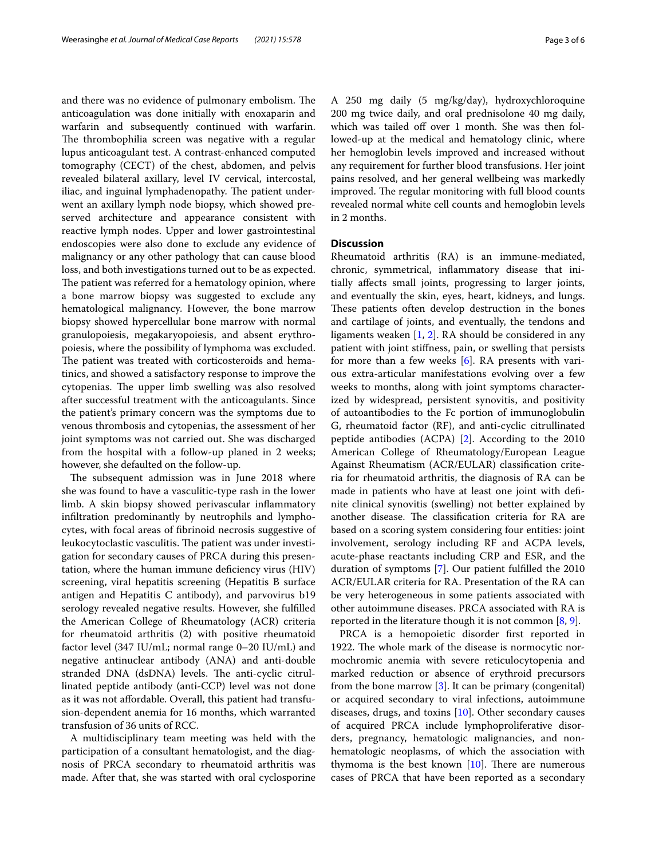and there was no evidence of pulmonary embolism. The anticoagulation was done initially with enoxaparin and warfarin and subsequently continued with warfarin. The thrombophilia screen was negative with a regular lupus anticoagulant test. A contrast-enhanced computed tomography (CECT) of the chest, abdomen, and pelvis revealed bilateral axillary, level IV cervical, intercostal, iliac, and inguinal lymphadenopathy. The patient underwent an axillary lymph node biopsy, which showed preserved architecture and appearance consistent with reactive lymph nodes. Upper and lower gastrointestinal endoscopies were also done to exclude any evidence of malignancy or any other pathology that can cause blood loss, and both investigations turned out to be as expected. The patient was referred for a hematology opinion, where a bone marrow biopsy was suggested to exclude any hematological malignancy. However, the bone marrow biopsy showed hypercellular bone marrow with normal granulopoiesis, megakaryopoiesis, and absent erythropoiesis, where the possibility of lymphoma was excluded. The patient was treated with corticosteroids and hematinics, and showed a satisfactory response to improve the cytopenias. The upper limb swelling was also resolved after successful treatment with the anticoagulants. Since the patient's primary concern was the symptoms due to venous thrombosis and cytopenias, the assessment of her joint symptoms was not carried out. She was discharged from the hospital with a follow-up planed in 2 weeks; however, she defaulted on the follow-up.

The subsequent admission was in June 2018 where she was found to have a vasculitic-type rash in the lower limb. A skin biopsy showed perivascular infammatory infltration predominantly by neutrophils and lymphocytes, with focal areas of fbrinoid necrosis suggestive of leukocytoclastic vasculitis. The patient was under investigation for secondary causes of PRCA during this presentation, where the human immune defciency virus (HIV) screening, viral hepatitis screening (Hepatitis B surface antigen and Hepatitis C antibody), and parvovirus b19 serology revealed negative results. However, she fulflled the American College of Rheumatology (ACR) criteria for rheumatoid arthritis (2) with positive rheumatoid factor level (347 IU/mL; normal range 0–20 IU/mL) and negative antinuclear antibody (ANA) and anti-double stranded DNA (dsDNA) levels. The anti-cyclic citrullinated peptide antibody (anti-CCP) level was not done as it was not afordable. Overall, this patient had transfusion-dependent anemia for 16 months, which warranted transfusion of 36 units of RCC.

A multidisciplinary team meeting was held with the participation of a consultant hematologist, and the diagnosis of PRCA secondary to rheumatoid arthritis was made. After that, she was started with oral cyclosporine A 250 mg daily (5 mg/kg/day), hydroxychloroquine 200 mg twice daily, and oral prednisolone 40 mg daily, which was tailed off over 1 month. She was then followed-up at the medical and hematology clinic, where her hemoglobin levels improved and increased without any requirement for further blood transfusions. Her joint pains resolved, and her general wellbeing was markedly improved. The regular monitoring with full blood counts revealed normal white cell counts and hemoglobin levels in 2 months.

#### **Discussion**

Rheumatoid arthritis (RA) is an immune-mediated, chronic, symmetrical, infammatory disease that initially afects small joints, progressing to larger joints, and eventually the skin, eyes, heart, kidneys, and lungs. These patients often develop destruction in the bones and cartilage of joints, and eventually, the tendons and ligaments weaken [[1,](#page-5-0) [2\]](#page-5-1). RA should be considered in any patient with joint stifness, pain, or swelling that persists for more than a few weeks [\[6](#page-5-5)]. RA presents with various extra-articular manifestations evolving over a few weeks to months, along with joint symptoms characterized by widespread, persistent synovitis, and positivity of autoantibodies to the Fc portion of immunoglobulin G, rheumatoid factor (RF), and anti-cyclic citrullinated peptide antibodies (ACPA) [[2\]](#page-5-1). According to the 2010 American College of Rheumatology/European League Against Rheumatism (ACR/EULAR) classifcation criteria for rheumatoid arthritis, the diagnosis of RA can be made in patients who have at least one joint with defnite clinical synovitis (swelling) not better explained by another disease. The classification criteria for RA are based on a scoring system considering four entities: joint involvement, serology including RF and ACPA levels, acute-phase reactants including CRP and ESR, and the duration of symptoms [[7\]](#page-5-6). Our patient fulflled the 2010 ACR/EULAR criteria for RA. Presentation of the RA can be very heterogeneous in some patients associated with other autoimmune diseases. PRCA associated with RA is reported in the literature though it is not common [\[8,](#page-5-7) [9](#page-5-8)].

PRCA is a hemopoietic disorder frst reported in 1922. The whole mark of the disease is normocytic normochromic anemia with severe reticulocytopenia and marked reduction or absence of erythroid precursors from the bone marrow [[3\]](#page-5-2). It can be primary (congenital) or acquired secondary to viral infections, autoimmune diseases, drugs, and toxins  $[10]$  $[10]$ . Other secondary causes of acquired PRCA include lymphoproliferative disorders, pregnancy, hematologic malignancies, and nonhematologic neoplasms, of which the association with thymoma is the best known  $[10]$  $[10]$ . There are numerous cases of PRCA that have been reported as a secondary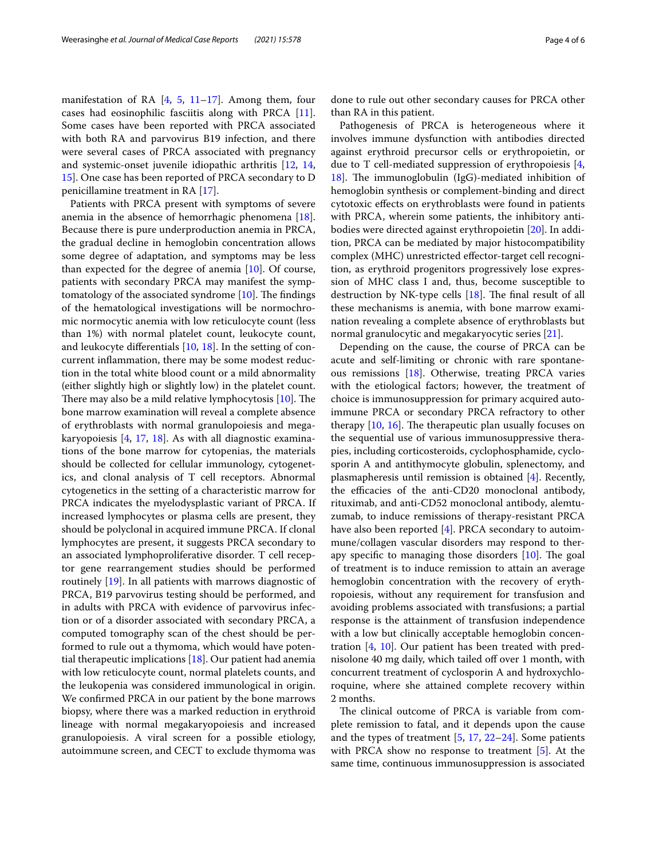manifestation of RA [\[4](#page-5-3), [5,](#page-5-4) [11–](#page-5-10)[17](#page-5-11)]. Among them, four cases had eosinophilic fasciitis along with PRCA [\[11](#page-5-10)]. Some cases have been reported with PRCA associated with both RA and parvovirus B19 infection, and there were several cases of PRCA associated with pregnancy and systemic-onset juvenile idiopathic arthritis [\[12](#page-5-12), [14](#page-5-13), [15\]](#page-5-14). One case has been reported of PRCA secondary to D penicillamine treatment in RA [\[17](#page-5-11)].

Patients with PRCA present with symptoms of severe anemia in the absence of hemorrhagic phenomena [\[18](#page-5-15)]. Because there is pure underproduction anemia in PRCA, the gradual decline in hemoglobin concentration allows some degree of adaptation, and symptoms may be less than expected for the degree of anemia [[10\]](#page-5-9). Of course, patients with secondary PRCA may manifest the symptomatology of the associated syndrome  $[10]$  $[10]$ . The findings of the hematological investigations will be normochromic normocytic anemia with low reticulocyte count (less than 1%) with normal platelet count, leukocyte count, and leukocyte diferentials [[10,](#page-5-9) [18\]](#page-5-15). In the setting of concurrent infammation, there may be some modest reduction in the total white blood count or a mild abnormality (either slightly high or slightly low) in the platelet count. There may also be a mild relative lymphocytosis  $[10]$  $[10]$  $[10]$ . The bone marrow examination will reveal a complete absence of erythroblasts with normal granulopoiesis and megakaryopoiesis [\[4](#page-5-3), [17,](#page-5-11) [18\]](#page-5-15). As with all diagnostic examinations of the bone marrow for cytopenias, the materials should be collected for cellular immunology, cytogenetics, and clonal analysis of T cell receptors. Abnormal cytogenetics in the setting of a characteristic marrow for PRCA indicates the myelodysplastic variant of PRCA. If increased lymphocytes or plasma cells are present, they should be polyclonal in acquired immune PRCA. If clonal lymphocytes are present, it suggests PRCA secondary to an associated lymphoproliferative disorder. T cell receptor gene rearrangement studies should be performed routinely [[19\]](#page-5-16). In all patients with marrows diagnostic of PRCA, B19 parvovirus testing should be performed, and in adults with PRCA with evidence of parvovirus infection or of a disorder associated with secondary PRCA, a computed tomography scan of the chest should be performed to rule out a thymoma, which would have potential therapeutic implications [\[18](#page-5-15)]. Our patient had anemia with low reticulocyte count, normal platelets counts, and the leukopenia was considered immunological in origin. We confrmed PRCA in our patient by the bone marrows biopsy, where there was a marked reduction in erythroid lineage with normal megakaryopoiesis and increased granulopoiesis. A viral screen for a possible etiology, autoimmune screen, and CECT to exclude thymoma was

done to rule out other secondary causes for PRCA other than RA in this patient.

Pathogenesis of PRCA is heterogeneous where it involves immune dysfunction with antibodies directed against erythroid precursor cells or erythropoietin, or due to T cell-mediated suppression of erythropoiesis [\[4](#page-5-3), [18\]](#page-5-15). The immunoglobulin  $(IGG)$ -mediated inhibition of hemoglobin synthesis or complement-binding and direct cytotoxic efects on erythroblasts were found in patients with PRCA, wherein some patients, the inhibitory antibodies were directed against erythropoietin [\[20](#page-5-17)]. In addition, PRCA can be mediated by major histocompatibility complex (MHC) unrestricted efector-target cell recognition, as erythroid progenitors progressively lose expression of MHC class I and, thus, become susceptible to destruction by NK-type cells  $[18]$  $[18]$  $[18]$ . The final result of all these mechanisms is anemia, with bone marrow examination revealing a complete absence of erythroblasts but normal granulocytic and megakaryocytic series [\[21](#page-5-18)].

Depending on the cause, the course of PRCA can be acute and self-limiting or chronic with rare spontaneous remissions [\[18](#page-5-15)]. Otherwise, treating PRCA varies with the etiological factors; however, the treatment of choice is immunosuppression for primary acquired autoimmune PRCA or secondary PRCA refractory to other therapy  $[10, 16]$  $[10, 16]$  $[10, 16]$  $[10, 16]$ . The therapeutic plan usually focuses on the sequential use of various immunosuppressive therapies, including corticosteroids, cyclophosphamide, cyclosporin A and antithymocyte globulin, splenectomy, and plasmapheresis until remission is obtained [\[4](#page-5-3)]. Recently, the efficacies of the anti-CD20 monoclonal antibody, rituximab, and anti-CD52 monoclonal antibody, alemtuzumab, to induce remissions of therapy-resistant PRCA have also been reported [\[4](#page-5-3)]. PRCA secondary to autoimmune/collagen vascular disorders may respond to therapy specific to managing those disorders  $[10]$  $[10]$  $[10]$ . The goal of treatment is to induce remission to attain an average hemoglobin concentration with the recovery of erythropoiesis, without any requirement for transfusion and avoiding problems associated with transfusions; a partial response is the attainment of transfusion independence with a low but clinically acceptable hemoglobin concentration [\[4](#page-5-3), [10\]](#page-5-9). Our patient has been treated with prednisolone 40 mg daily, which tailed off over 1 month, with concurrent treatment of cyclosporin A and hydroxychloroquine, where she attained complete recovery within 2 months.

The clinical outcome of PRCA is variable from complete remission to fatal, and it depends upon the cause and the types of treatment [[5,](#page-5-4) [17,](#page-5-11) [22–](#page-5-20)[24\]](#page-5-21). Some patients with PRCA show no response to treatment [\[5\]](#page-5-4). At the same time, continuous immunosuppression is associated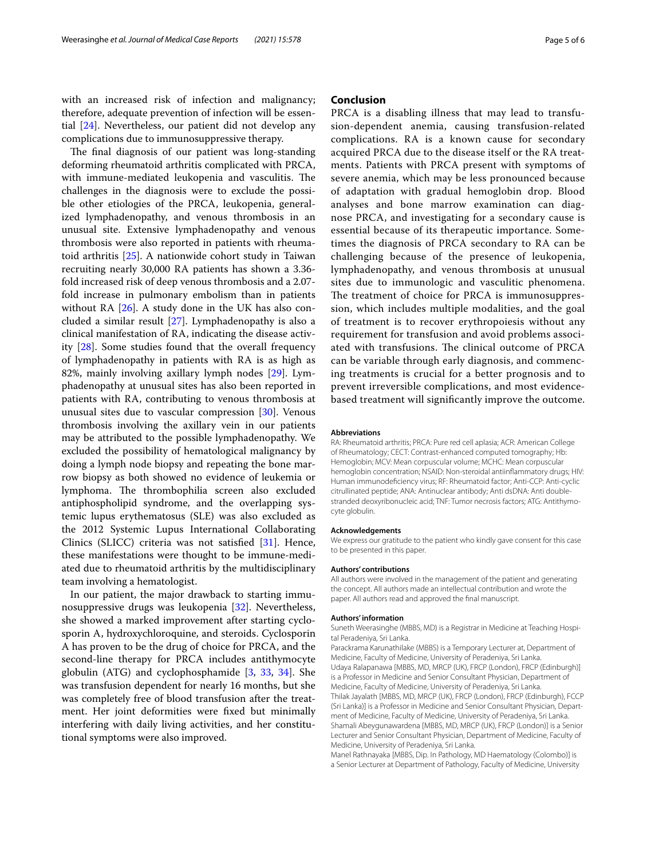with an increased risk of infection and malignancy; therefore, adequate prevention of infection will be essential [[24\]](#page-5-21). Nevertheless, our patient did not develop any complications due to immunosuppressive therapy.

The final diagnosis of our patient was long-standing deforming rheumatoid arthritis complicated with PRCA, with immune-mediated leukopenia and vasculitis. The challenges in the diagnosis were to exclude the possible other etiologies of the PRCA, leukopenia, generalized lymphadenopathy, and venous thrombosis in an unusual site. Extensive lymphadenopathy and venous thrombosis were also reported in patients with rheumatoid arthritis [[25\]](#page-5-22). A nationwide cohort study in Taiwan recruiting nearly 30,000 RA patients has shown a 3.36 fold increased risk of deep venous thrombosis and a 2.07 fold increase in pulmonary embolism than in patients without RA  $[26]$ . A study done in the UK has also concluded a similar result [[27](#page-5-24)]. Lymphadenopathy is also a clinical manifestation of RA, indicating the disease activity [\[28](#page-5-25)]. Some studies found that the overall frequency of lymphadenopathy in patients with RA is as high as 82%, mainly involving axillary lymph nodes [[29](#page-5-26)]. Lymphadenopathy at unusual sites has also been reported in patients with RA, contributing to venous thrombosis at unusual sites due to vascular compression [\[30](#page-5-27)]. Venous thrombosis involving the axillary vein in our patients may be attributed to the possible lymphadenopathy. We excluded the possibility of hematological malignancy by doing a lymph node biopsy and repeating the bone marrow biopsy as both showed no evidence of leukemia or lymphoma. The thrombophilia screen also excluded antiphospholipid syndrome, and the overlapping systemic lupus erythematosus (SLE) was also excluded as the 2012 Systemic Lupus International Collaborating Clinics (SLICC) criteria was not satisfed [\[31](#page-5-28)]. Hence, these manifestations were thought to be immune-mediated due to rheumatoid arthritis by the multidisciplinary team involving a hematologist.

In our patient, the major drawback to starting immunosuppressive drugs was leukopenia [\[32](#page-5-29)]. Nevertheless, she showed a marked improvement after starting cyclosporin A, hydroxychloroquine, and steroids. Cyclosporin A has proven to be the drug of choice for PRCA, and the second-line therapy for PRCA includes antithymocyte globulin (ATG) and cyclophosphamide [[3](#page-5-2), [33,](#page-5-30) [34](#page-5-31)]. She was transfusion dependent for nearly 16 months, but she was completely free of blood transfusion after the treatment. Her joint deformities were fxed but minimally interfering with daily living activities, and her constitutional symptoms were also improved.

#### **Conclusion**

PRCA is a disabling illness that may lead to transfusion-dependent anemia, causing transfusion-related complications. RA is a known cause for secondary acquired PRCA due to the disease itself or the RA treatments. Patients with PRCA present with symptoms of severe anemia, which may be less pronounced because of adaptation with gradual hemoglobin drop. Blood analyses and bone marrow examination can diagnose PRCA, and investigating for a secondary cause is essential because of its therapeutic importance. Sometimes the diagnosis of PRCA secondary to RA can be challenging because of the presence of leukopenia, lymphadenopathy, and venous thrombosis at unusual sites due to immunologic and vasculitic phenomena. The treatment of choice for PRCA is immunosuppression, which includes multiple modalities, and the goal of treatment is to recover erythropoiesis without any requirement for transfusion and avoid problems associated with transfusions. The clinical outcome of PRCA can be variable through early diagnosis, and commencing treatments is crucial for a better prognosis and to prevent irreversible complications, and most evidencebased treatment will signifcantly improve the outcome.

#### **Abbreviations**

RA: Rheumatoid arthritis; PRCA: Pure red cell aplasia; ACR: American College of Rheumatology; CECT: Contrast-enhanced computed tomography; Hb: Hemoglobin; MCV: Mean corpuscular volume; MCHC: Mean corpuscular hemoglobin concentration; NSAID: Non-steroidal antiinfammatory drugs; HIV: Human immunodefciency virus; RF: Rheumatoid factor; Anti-CCP: Anti-cyclic citrullinated peptide; ANA: Antinuclear antibody; Anti dsDNA: Anti doublestranded deoxyribonucleic acid; TNF: Tumor necrosis factors; ATG: Antithymocyte globulin.

#### **Acknowledgements**

We express our gratitude to the patient who kindly gave consent for this case to be presented in this paper.

#### **Authors' contributions**

All authors were involved in the management of the patient and generating the concept. All authors made an intellectual contribution and wrote the paper. All authors read and approved the fnal manuscript.

#### **Authors' information**

Suneth Weerasinghe (MBBS, MD) is a Registrar in Medicine at Teaching Hospital Peradeniya, Sri Lanka.

Parackrama Karunathilake (MBBS) is a Temporary Lecturer at, Department of Medicine, Faculty of Medicine, University of Peradeniya, Sri Lanka. Udaya Ralapanawa [MBBS, MD, MRCP (UK), FRCP (London), FRCP (Edinburgh)] is a Professor in Medicine and Senior Consultant Physician, Department of Medicine, Faculty of Medicine, University of Peradeniya, Sri Lanka. Thilak Jayalath [MBBS, MD, MRCP (UK), FRCP (London), FRCP (Edinburgh), FCCP (Sri Lanka)] is a Professor in Medicine and Senior Consultant Physician, Department of Medicine, Faculty of Medicine, University of Peradeniya, Sri Lanka. Shamali Abeygunawardena [MBBS, MD, MRCP (UK), FRCP (London)] is a Senior Lecturer and Senior Consultant Physician, Department of Medicine, Faculty of Medicine, University of Peradeniya, Sri Lanka.

Manel Rathnayaka [MBBS, Dip. In Pathology, MD Haematology (Colombo)] is a Senior Lecturer at Department of Pathology, Faculty of Medicine, University